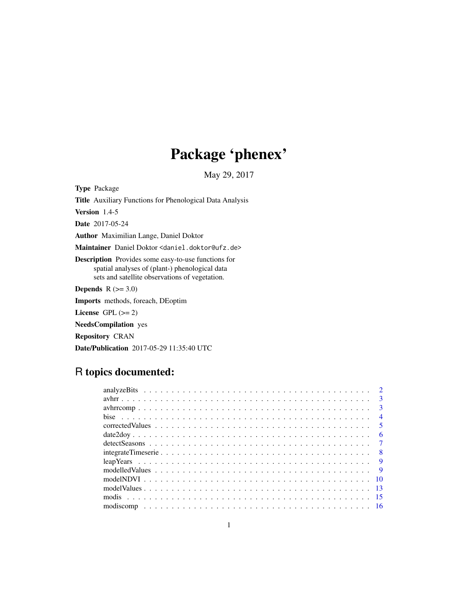# Package 'phenex'

May 29, 2017

<span id="page-0-0"></span>Type Package Title Auxiliary Functions for Phenological Data Analysis Version 1.4-5 Date 2017-05-24 Author Maximilian Lange, Daniel Doktor Maintainer Daniel Doktor <daniel.doktor@ufz.de> Description Provides some easy-to-use functions for spatial analyses of (plant-) phenological data sets and satellite observations of vegetation. Depends  $R$  ( $>= 3.0$ ) Imports methods, foreach, DEoptim License GPL  $(>= 2)$ NeedsCompilation yes Repository CRAN

# R topics documented:

Date/Publication 2017-05-29 11:35:40 UTC

|  |  |  |  |  |  |  |  |  |  |  |  |  |  |  |  |  |  | $\overline{\mathbf{3}}$ |
|--|--|--|--|--|--|--|--|--|--|--|--|--|--|--|--|--|--|-------------------------|
|  |  |  |  |  |  |  |  |  |  |  |  |  |  |  |  |  |  | $\overline{4}$          |
|  |  |  |  |  |  |  |  |  |  |  |  |  |  |  |  |  |  |                         |
|  |  |  |  |  |  |  |  |  |  |  |  |  |  |  |  |  |  | - 6                     |
|  |  |  |  |  |  |  |  |  |  |  |  |  |  |  |  |  |  |                         |
|  |  |  |  |  |  |  |  |  |  |  |  |  |  |  |  |  |  |                         |
|  |  |  |  |  |  |  |  |  |  |  |  |  |  |  |  |  |  |                         |
|  |  |  |  |  |  |  |  |  |  |  |  |  |  |  |  |  |  |                         |
|  |  |  |  |  |  |  |  |  |  |  |  |  |  |  |  |  |  |                         |
|  |  |  |  |  |  |  |  |  |  |  |  |  |  |  |  |  |  |                         |
|  |  |  |  |  |  |  |  |  |  |  |  |  |  |  |  |  |  |                         |
|  |  |  |  |  |  |  |  |  |  |  |  |  |  |  |  |  |  |                         |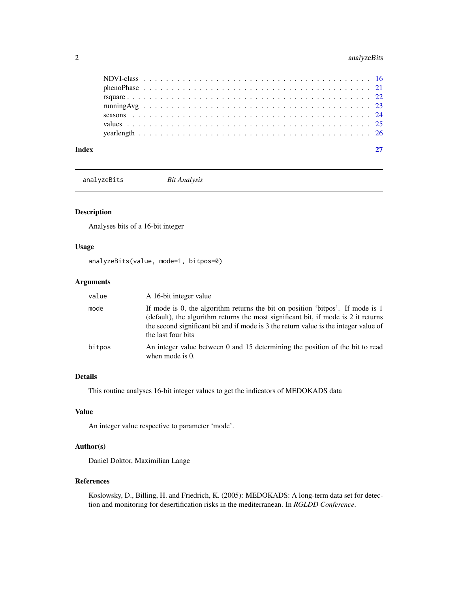# <span id="page-1-0"></span>2 analyzeBits analyzeBits

| Index |  |  |  |  |  |  |  |  |  |  |  |  |  |  |  |  |  |  |  |  |  |  |
|-------|--|--|--|--|--|--|--|--|--|--|--|--|--|--|--|--|--|--|--|--|--|--|
|       |  |  |  |  |  |  |  |  |  |  |  |  |  |  |  |  |  |  |  |  |  |  |
|       |  |  |  |  |  |  |  |  |  |  |  |  |  |  |  |  |  |  |  |  |  |  |
|       |  |  |  |  |  |  |  |  |  |  |  |  |  |  |  |  |  |  |  |  |  |  |
|       |  |  |  |  |  |  |  |  |  |  |  |  |  |  |  |  |  |  |  |  |  |  |
|       |  |  |  |  |  |  |  |  |  |  |  |  |  |  |  |  |  |  |  |  |  |  |
|       |  |  |  |  |  |  |  |  |  |  |  |  |  |  |  |  |  |  |  |  |  |  |
|       |  |  |  |  |  |  |  |  |  |  |  |  |  |  |  |  |  |  |  |  |  |  |

analyzeBits *Bit Analysis*

# Description

Analyses bits of a 16-bit integer

# Usage

analyzeBits(value, mode=1, bitpos=0)

# Arguments

| value  | A 16-bit integer value                                                                                                                                                                                                                                                             |
|--------|------------------------------------------------------------------------------------------------------------------------------------------------------------------------------------------------------------------------------------------------------------------------------------|
| mode   | If mode is 0, the algorithm returns the bit on position 'bitpos'. If mode is 1<br>(default), the algorithm returns the most significant bit, if mode is 2 it returns<br>the second significant bit and if mode is 3 the return value is the integer value of<br>the last four bits |
| bitpos | An integer value between 0 and 15 determining the position of the bit to read<br>when mode is $0$ .                                                                                                                                                                                |

# Details

This routine analyses 16-bit integer values to get the indicators of MEDOKADS data

# Value

An integer value respective to parameter 'mode'.

# Author(s)

Daniel Doktor, Maximilian Lange

# References

Koslowsky, D., Billing, H. and Friedrich, K. (2005): MEDOKADS: A long-term data set for detection and monitoring for desertification risks in the mediterranean. In *RGLDD Conference*.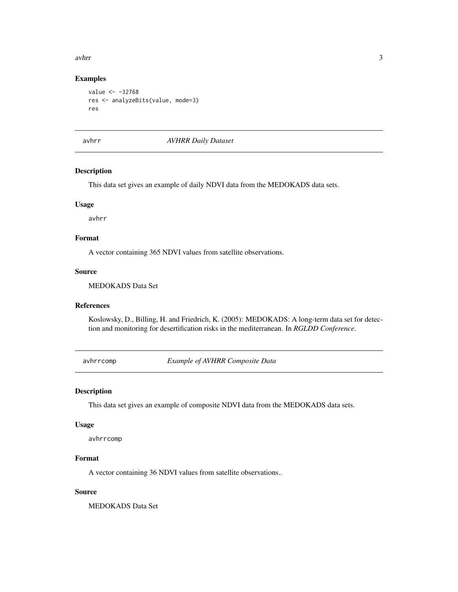#### <span id="page-2-0"></span>avhrr 3

# Examples

```
value <- -32768
res <- analyzeBits(value, mode=3)
res
```
avhrr *AVHRR Daily Dataset*

# Description

This data set gives an example of daily NDVI data from the MEDOKADS data sets.

#### Usage

avhrr

# Format

A vector containing 365 NDVI values from satellite observations.

#### Source

MEDOKADS Data Set

#### References

Koslowsky, D., Billing, H. and Friedrich, K. (2005): MEDOKADS: A long-term data set for detection and monitoring for desertification risks in the mediterranean. In *RGLDD Conference*.

avhrrcomp *Example of AVHRR Composite Data*

# Description

This data set gives an example of composite NDVI data from the MEDOKADS data sets.

#### Usage

avhrrcomp

# Format

A vector containing 36 NDVI values from satellite observations..

# Source

MEDOKADS Data Set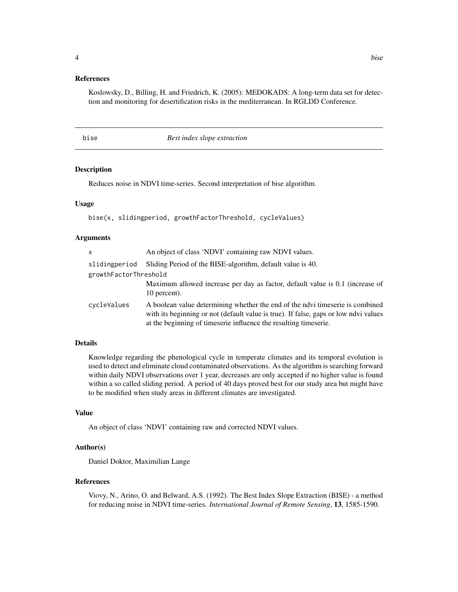#### <span id="page-3-0"></span>References

Koslowsky, D., Billing, H. and Friedrich, K. (2005): MEDOKADS: A long-term data set for detection and monitoring for desertification risks in the mediterranean. In RGLDD Conference.

<span id="page-3-1"></span>

bise *Best index slope extraction*

#### Description

Reduces noise in NDVI time-series. Second interpretation of bise algorithm.

#### Usage

bise(x, slidingperiod, growthFactorThreshold, cycleValues)

#### Arguments

| X                     | An object of class 'NDVI' containing raw NDVI values.                                                                                                                                                                                     |
|-----------------------|-------------------------------------------------------------------------------------------------------------------------------------------------------------------------------------------------------------------------------------------|
| slidingperiod         | Sliding Period of the BISE-algorithm, default value is 40.                                                                                                                                                                                |
| growthFactorThreshold |                                                                                                                                                                                                                                           |
|                       | Maximum allowed increase per day as factor, default value is 0.1 (increase of<br>10 percent).                                                                                                                                             |
| cycleValues           | A boolean value determining whether the end of the ndvi timeserie is combined<br>with its beginning or not (default value is true). If false, gaps or low ndvi values<br>at the beginning of timeserie influence the resulting timeserie. |

#### Details

Knowledge regarding the phenological cycle in temperate climates and its temporal evolution is used to detect and eliminate cloud contaminated observations. As the algorithm is searching forward within daily NDVI observations over 1 year, decreases are only accepted if no higher value is found within a so called sliding period. A period of 40 days proved best for our study area but might have to be modified when study areas in different climates are investigated.

# Value

An object of class 'NDVI' containing raw and corrected NDVI values.

#### Author(s)

Daniel Doktor, Maximilian Lange

#### References

Viovy, N., Arino, O. and Belward, A.S. (1992). The Best Index Slope Extraction (BISE) - a method for reducing noise in NDVI time-series. *International Journal of Remote Sensing*, 13, 1585-1590.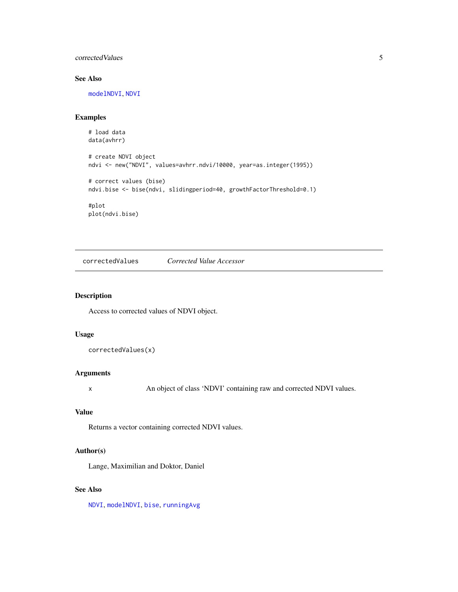# <span id="page-4-0"></span>correctedValues 5

# See Also

[modelNDVI](#page-9-1), [NDVI](#page-15-1)

# Examples

```
# load data
data(avhrr)
```

```
# create NDVI object
ndvi <- new("NDVI", values=avhrr.ndvi/10000, year=as.integer(1995))
```

```
# correct values (bise)
ndvi.bise <- bise(ndvi, slidingperiod=40, growthFactorThreshold=0.1)
```
#plot plot(ndvi.bise)

correctedValues *Corrected Value Accessor*

# Description

Access to corrected values of NDVI object.

# Usage

correctedValues(x)

#### Arguments

x An object of class 'NDVI' containing raw and corrected NDVI values.

# Value

Returns a vector containing corrected NDVI values.

# Author(s)

Lange, Maximilian and Doktor, Daniel

# See Also

[NDVI](#page-15-1), [modelNDVI](#page-9-1), [bise](#page-3-1), [runningAvg](#page-22-1)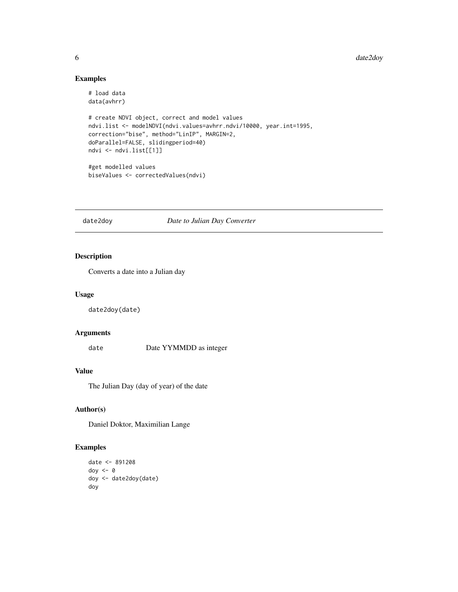#### <span id="page-5-0"></span> $\frac{6}{2}$  date2doy

# Examples

```
# load data
data(avhrr)
# create NDVI object, correct and model values
ndvi.list <- modelNDVI(ndvi.values=avhrr.ndvi/10000, year.int=1995,
correction="bise", method="LinIP", MARGIN=2,
doParallel=FALSE, slidingperiod=40)
ndvi <- ndvi.list[[1]]
#get modelled values
biseValues <- correctedValues(ndvi)
```
#### date2doy *Date to Julian Day Converter*

# Description

Converts a date into a Julian day

#### Usage

date2doy(date)

# Arguments

date Date YYMMDD as integer

# Value

The Julian Day (day of year) of the date

# Author(s)

Daniel Doktor, Maximilian Lange

# Examples

```
date <- 891208
doy <- 0
doy <- date2doy(date)
doy
```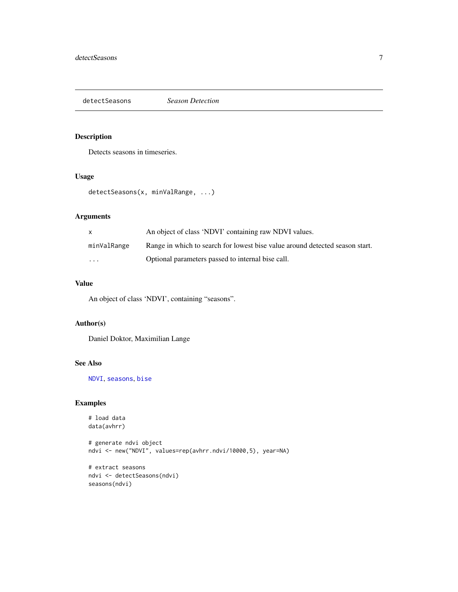<span id="page-6-1"></span><span id="page-6-0"></span>detectSeasons *Season Detection*

# Description

Detects seasons in timeseries.

# Usage

```
detectSeasons(x, minValRange, ...)
```
# Arguments

| X           | An object of class 'NDVI' containing raw NDVI values.                        |
|-------------|------------------------------------------------------------------------------|
| minValRange | Range in which to search for lowest bise value around detected season start. |
| $\cdots$    | Optional parameters passed to internal bise call.                            |

# Value

An object of class 'NDVI', containing "seasons".

#### Author(s)

Daniel Doktor, Maximilian Lange

#### See Also

[NDVI](#page-15-1), [seasons](#page-23-1), [bise](#page-3-1)

# Examples

```
# load data
data(avhrr)
```

```
# generate ndvi object
ndvi <- new("NDVI", values=rep(avhrr.ndvi/10000,5), year=NA)
```
# extract seasons ndvi <- detectSeasons(ndvi) seasons(ndvi)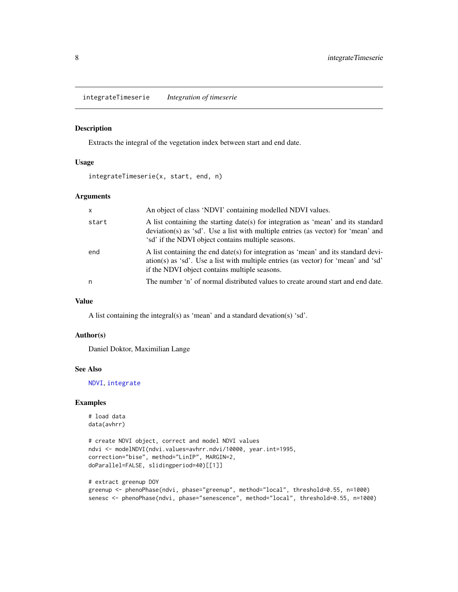<span id="page-7-0"></span>integrateTimeserie *Integration of timeserie*

# Description

Extracts the integral of the vegetation index between start and end date.

#### Usage

integrateTimeserie(x, start, end, n)

# Arguments

| x     | An object of class 'NDVI' containing modelled NDVI values.                                                                                                                                                                   |
|-------|------------------------------------------------------------------------------------------------------------------------------------------------------------------------------------------------------------------------------|
| start | A list containing the starting date(s) for integration as 'mean' and its standard<br>deviation(s) as 'sd'. Use a list with multiple entries (as vector) for 'mean' and<br>'sd' if the NDVI object contains multiple seasons. |
| end   | A list containing the end date(s) for integration as 'mean' and its standard devi-<br>ation(s) as 'sd'. Use a list with multiple entries (as vector) for 'mean' and 'sd'<br>if the NDVI object contains multiple seasons.    |
| n     | The number 'n' of normal distributed values to create around start and end date.                                                                                                                                             |
|       |                                                                                                                                                                                                                              |

#### Value

A list containing the integral(s) as 'mean' and a standard devation(s) 'sd'.

#### Author(s)

Daniel Doktor, Maximilian Lange

#### See Also

[NDVI](#page-15-1), [integrate](#page-0-0)

#### Examples

```
# load data
data(avhrr)
```

```
# create NDVI object, correct and model NDVI values
ndvi <- modelNDVI(ndvi.values=avhrr.ndvi/10000, year.int=1995,
correction="bise", method="LinIP", MARGIN=2,
doParallel=FALSE, slidingperiod=40)[[1]]
```

```
# extract greenup DOY
greenup <- phenoPhase(ndvi, phase="greenup", method="local", threshold=0.55, n=1000)
senesc <- phenoPhase(ndvi, phase="senescence", method="local", threshold=0.55, n=1000)
```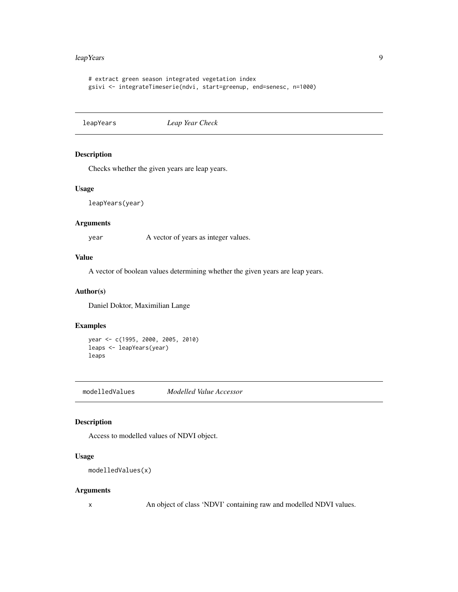#### <span id="page-8-0"></span>leapYears 9

```
# extract green season integrated vegetation index
gsivi <- integrateTimeserie(ndvi, start=greenup, end=senesc, n=1000)
```
leapYears *Leap Year Check*

# Description

Checks whether the given years are leap years.

# Usage

leapYears(year)

#### Arguments

year A vector of years as integer values.

#### Value

A vector of boolean values determining whether the given years are leap years.

#### Author(s)

Daniel Doktor, Maximilian Lange

#### Examples

```
year <- c(1995, 2000, 2005, 2010)
leaps <- leapYears(year)
leaps
```
modelledValues *Modelled Value Accessor*

#### Description

Access to modelled values of NDVI object.

# Usage

```
modelledValues(x)
```
#### Arguments

x An object of class 'NDVI' containing raw and modelled NDVI values.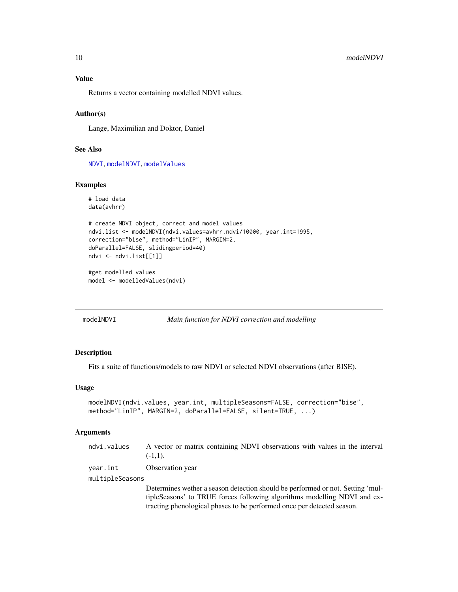<span id="page-9-0"></span>Returns a vector containing modelled NDVI values.

#### Author(s)

Lange, Maximilian and Doktor, Daniel

#### See Also

[NDVI](#page-15-1), [modelNDVI](#page-9-1), [modelValues](#page-12-1)

#### Examples

```
# load data
data(avhrr)
# create NDVI object, correct and model values
ndvi.list <- modelNDVI(ndvi.values=avhrr.ndvi/10000, year.int=1995,
correction="bise", method="LinIP", MARGIN=2,
doParallel=FALSE, slidingperiod=40)
ndvi <- ndvi.list[[1]]
#get modelled values
model <- modelledValues(ndvi)
```
<span id="page-9-1"></span>modelNDVI *Main function for NDVI correction and modelling*

# Description

Fits a suite of functions/models to raw NDVI or selected NDVI observations (after BISE).

#### Usage

```
modelNDVI(ndvi.values, year.int, multipleSeasons=FALSE, correction="bise",
method="LinIP", MARGIN=2, doParallel=FALSE, silent=TRUE, ...)
```
# Arguments

| ndvi.values     | A vector or matrix containing NDVI observations with values in the interval<br>$(-1.1)$ . |
|-----------------|-------------------------------------------------------------------------------------------|
| vear.int        | Observation year                                                                          |
| multipleSeasons |                                                                                           |
|                 | Determines wether a season detection should be performed or not. Setting 'mul-            |
|                 | tipleSeasons' to TRUE forces following algorithms modelling NDVI and ex-                  |

tracting phenological phases to be performed once per detected season.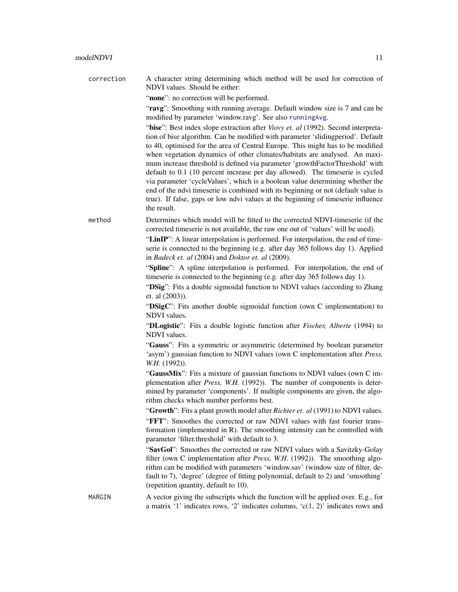<span id="page-10-0"></span>correction A character string determining which method will be used for correction of NDVI values. Should be either:

"none": no correction will be performed.

"ravg": Smoothing with running average. Default window size is 7 and can be modified by parameter 'window.ravg'. See also [runningAvg](#page-22-1).

"bise": Best index slope extraction after *Viovy et. al* (1992). Second interpretation of bise algorithm. Can be modified with parameter 'slidingperiod'. Default to 40, optimised for the area of Central Europe. This might has to be modified when vegetation dynamics of other climates/habitats are analysed. An maximum increase threshold is defined via parameter 'growthFactorThreshold' with default to 0.1 (10 percent increase per day allowed). The timeserie is cycled via parameter 'cycleValues', which is a boolean value determining whether the end of the ndvi timeserie is combined with its beginning or not (default value is true). If false, gaps or low ndvi values at the beginning of timeserie influence the result.

method Determines which model will be fitted to the corrected NDVI-timeserie (if the corrected timeserie is not available, the raw one out of 'values' will be used).

> "LinIP": A linear interpolation is performed. For interpolation, the end of timeserie is connected to the beginning (e.g. after day 365 follows day 1). Applied in *Badeck et. al* (2004) and *Doktor et. al* (2009).

> "Spline": A spline interpolation is performed. For interpolation, the end of timeserie is connected to the beginning (e.g. after day 365 follows day 1).

> "DSig": Fits a double sigmoidal function to NDVI values (according to Zhang) et. al (2003)).

> "DSigC": Fits another double sigmoidal function (own C implementation) to NDVI values.

> "DLogistic": Fits a double logistic function after *Fischer, Alberte* (1994) to NDVI values.

> "Gauss": Fits a symmetric or asymmetric (determined by boolean parameter 'asym') gaussian function to NDVI values (own C implementation after *Press, W.H.* (1992)).

> "GaussMix": Fits a mixture of gaussian functions to NDVI values (own C implementation after *Press, W.H.* (1992)). The number of components is determined by parameter 'components'. If multiple components are given, the algorithm checks which number performs best.

> "Growth": Fits a plant growth model after *Richter et. al* (1991) to NDVI values.

"FFT": Smoothes the corrected or raw NDVI values with fast fourier transformation (implemented in R). The smoothing intensity can be controlled with parameter 'filter.threshold' with default to 3.

"SavGol": Smoothes the corrected or raw NDVI values with a Savitzky-Golay filter (own C implementation after *Press, W.H.* (1992)). The smoothing algorithm can be modified with parameters 'window.sav' (window size of filter, default to 7), 'degree' (degree of fitting polynomial, default to 2) and 'smoothing' (repetition quantity, default to 10).

MARGIN  $\Delta$  vector giving the subscripts which the function will be applied over. E.g., for a matrix '1' indicates rows, '2' indicates columns, 'c(1, 2)' indicates rows and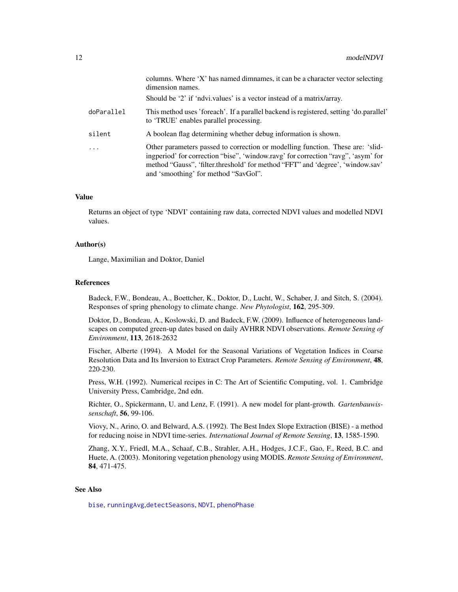<span id="page-11-0"></span>

|            | columns. Where 'X' has named dimnames, it can be a character vector selecting<br>dimension names.                                                                                                                                                                                             |
|------------|-----------------------------------------------------------------------------------------------------------------------------------------------------------------------------------------------------------------------------------------------------------------------------------------------|
|            | Should be '2' if 'ndvi.values' is a vector instead of a matrix/array.                                                                                                                                                                                                                         |
| doParallel | This method uses 'foreach'. If a parallel backend is registered, setting 'do.parallel'<br>to 'TRUE' enables parallel processing.                                                                                                                                                              |
| silent     | A boolean flag determining whether debug information is shown.                                                                                                                                                                                                                                |
| $\ddots$   | Other parameters passed to correction or modelling function. These are: 'slid-<br>ingperiod' for correction "bise", 'window.ravg' for correction "ravg", 'asym' for<br>method "Gauss", 'filter.threshold' for method "FFT" and 'degree', 'window.sav'<br>and 'smoothing' for method "SavGol". |

#### Value

Returns an object of type 'NDVI' containing raw data, corrected NDVI values and modelled NDVI values.

#### Author(s)

Lange, Maximilian and Doktor, Daniel

#### References

Badeck, F.W., Bondeau, A., Boettcher, K., Doktor, D., Lucht, W., Schaber, J. and Sitch, S. (2004). Responses of spring phenology to climate change. *New Phytologist*, 162, 295-309.

Doktor, D., Bondeau, A., Koslowski, D. and Badeck, F.W. (2009). Influence of heterogeneous landscapes on computed green-up dates based on daily AVHRR NDVI observations. *Remote Sensing of Environment*, 113, 2618-2632

Fischer, Alberte (1994). A Model for the Seasonal Variations of Vegetation Indices in Coarse Resolution Data and Its Inversion to Extract Crop Parameters. *Remote Sensing of Environment*, 48, 220-230.

Press, W.H. (1992). Numerical recipes in C: The Art of Scientific Computing, vol. 1. Cambridge University Press, Cambridge, 2nd edn.

Richter, O., Spickermann, U. and Lenz, F. (1991). A new model for plant-growth. *Gartenbauwissenschaft*, 56, 99-106.

Viovy, N., Arino, O. and Belward, A.S. (1992). The Best Index Slope Extraction (BISE) - a method for reducing noise in NDVI time-series. *International Journal of Remote Sensing*, 13, 1585-1590.

Zhang, X.Y., Friedl, M.A., Schaaf, C.B., Strahler, A.H., Hodges, J.C.F., Gao, F., Reed, B.C. and Huete, A. (2003). Monitoring vegetation phenology using MODIS. *Remote Sensing of Environment*, 84, 471-475.

# See Also

[bise](#page-3-1), [runningAvg](#page-22-1),[detectSeasons](#page-6-1), [NDVI](#page-15-1), [phenoPhase](#page-20-1)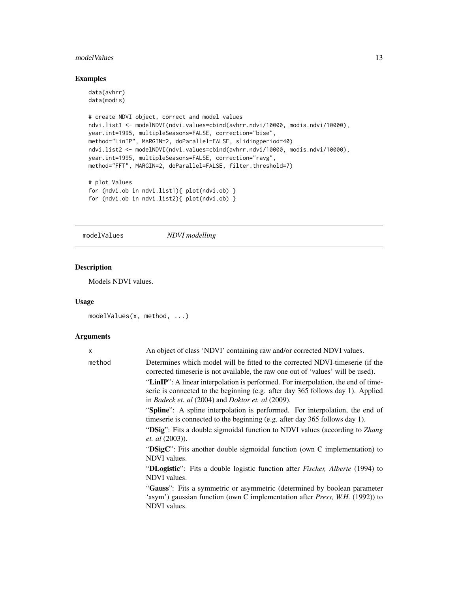# <span id="page-12-0"></span>modelValues 13

# Examples

```
data(avhrr)
data(modis)
# create NDVI object, correct and model values
ndvi.list1 <- modelNDVI(ndvi.values=cbind(avhrr.ndvi/10000, modis.ndvi/10000),
year.int=1995, multipleSeasons=FALSE, correction="bise",
method="LinIP", MARGIN=2, doParallel=FALSE, slidingperiod=40)
ndvi.list2 <- modelNDVI(ndvi.values=cbind(avhrr.ndvi/10000, modis.ndvi/10000),
year.int=1995, multipleSeasons=FALSE, correction="ravg",
method="FFT", MARGIN=2, doParallel=FALSE, filter.threshold=7)
# plot Values
for (ndvi.ob in ndvi.list1){ plot(ndvi.ob) }
for (ndvi.ob in ndvi.list2){ plot(ndvi.ob) }
```
<span id="page-12-1"></span>modelValues *NDVI modelling*

# Description

Models NDVI values.

#### Usage

```
modelValues(x, method, ...)
```
# Arguments

| x      | An object of class 'NDVI' containing raw and/or corrected NDVI values.                                                                                                                                                                       |
|--------|----------------------------------------------------------------------------------------------------------------------------------------------------------------------------------------------------------------------------------------------|
| method | Determines which model will be fitted to the corrected NDVI-timeserie (if the<br>corrected timeserie is not available, the raw one out of 'values' will be used).                                                                            |
|        | "LinIP": A linear interpolation is performed. For interpolation, the end of time-<br>serie is connected to the beginning (e.g. after day 365 follows day 1). Applied<br>in <i>Badeck et. al</i> $(2004)$ and <i>Doktor et. al</i> $(2009)$ . |
|        | "Spline": A spline interpolation is performed. For interpolation, the end of<br>timeserie is connected to the beginning (e.g. after day 365 follows day 1).                                                                                  |
|        | "DSig": Fits a double sigmoidal function to NDVI values (according to Zhang<br><i>et. al</i> (2003)).                                                                                                                                        |
|        | "DSigC": Fits another double sigmoidal function (own C implementation) to<br>NDVI values.                                                                                                                                                    |
|        | "DLogistic": Fits a double logistic function after <i>Fischer</i> , <i>Alberte</i> (1994) to<br>NDVI values.                                                                                                                                 |
|        | "Gauss": Fits a symmetric or asymmetric (determined by boolean parameter<br>'asym') gaussian function (own C implementation after <i>Press</i> , W.H. (1992)) to<br>NDVI values.                                                             |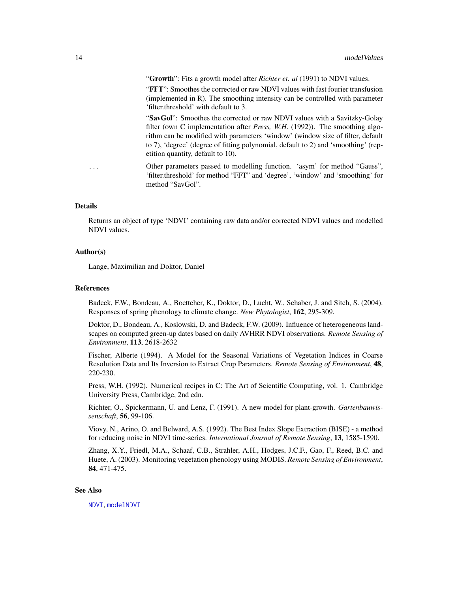<span id="page-13-0"></span>"Growth": Fits a growth model after *Richter et. al* (1991) to NDVI values.

"FFT": Smoothes the corrected or raw NDVI values with fast fourier transfusion (implemented in R). The smoothing intensity can be controlled with parameter 'filter.threshold' with default to 3.

"SavGol": Smoothes the corrected or raw NDVI values with a Savitzky-Golay filter (own C implementation after *Press, W.H.* (1992)). The smoothing algorithm can be modified with parameters 'window' (window size of filter, default to 7), 'degree' (degree of fitting polynomial, default to 2) and 'smoothing' (repetition quantity, default to 10).

... Other parameters passed to modelling function. 'asym' for method "Gauss", 'filter.threshold' for method "FFT" and 'degree', 'window' and 'smoothing' for method "SavGol".

# Details

Returns an object of type 'NDVI' containing raw data and/or corrected NDVI values and modelled NDVI values.

#### Author(s)

Lange, Maximilian and Doktor, Daniel

# References

Badeck, F.W., Bondeau, A., Boettcher, K., Doktor, D., Lucht, W., Schaber, J. and Sitch, S. (2004). Responses of spring phenology to climate change. *New Phytologist*, 162, 295-309.

Doktor, D., Bondeau, A., Koslowski, D. and Badeck, F.W. (2009). Influence of heterogeneous landscapes on computed green-up dates based on daily AVHRR NDVI observations. *Remote Sensing of Environment*, 113, 2618-2632

Fischer, Alberte (1994). A Model for the Seasonal Variations of Vegetation Indices in Coarse Resolution Data and Its Inversion to Extract Crop Parameters. *Remote Sensing of Environment*, 48, 220-230.

Press, W.H. (1992). Numerical recipes in C: The Art of Scientific Computing, vol. 1. Cambridge University Press, Cambridge, 2nd edn.

Richter, O., Spickermann, U. and Lenz, F. (1991). A new model for plant-growth. *Gartenbauwissenschaft*, 56, 99-106.

Viovy, N., Arino, O. and Belward, A.S. (1992). The Best Index Slope Extraction (BISE) - a method for reducing noise in NDVI time-series. *International Journal of Remote Sensing*, 13, 1585-1590.

Zhang, X.Y., Friedl, M.A., Schaaf, C.B., Strahler, A.H., Hodges, J.C.F., Gao, F., Reed, B.C. and Huete, A. (2003). Monitoring vegetation phenology using MODIS. *Remote Sensing of Environment*, 84, 471-475.

#### See Also

[NDVI](#page-15-1), [modelNDVI](#page-9-1)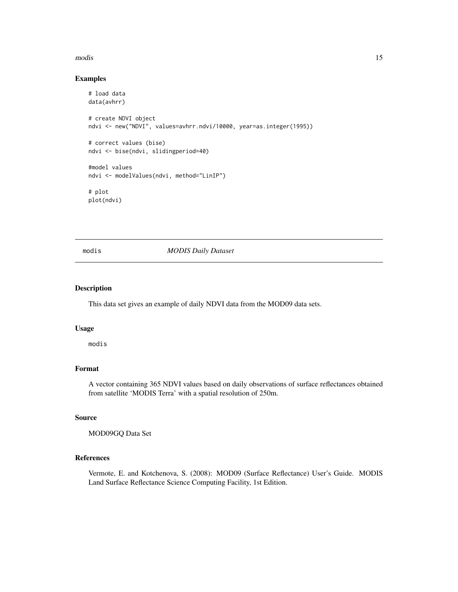#### <span id="page-14-0"></span>modis and the set of the set of the set of the set of the set of the set of the set of the set of the set of the set of the set of the set of the set of the set of the set of the set of the set of the set of the set of the

#### Examples

```
# load data
data(avhrr)
# create NDVI object
ndvi <- new("NDVI", values=avhrr.ndvi/10000, year=as.integer(1995))
# correct values (bise)
ndvi <- bise(ndvi, slidingperiod=40)
#model values
ndvi <- modelValues(ndvi, method="LinIP")
# plot
plot(ndvi)
```
modis *MODIS Daily Dataset*

#### Description

This data set gives an example of daily NDVI data from the MOD09 data sets.

#### Usage

modis

#### Format

A vector containing 365 NDVI values based on daily observations of surface reflectances obtained from satellite 'MODIS Terra' with a spatial resolution of 250m.

#### Source

MOD09GQ Data Set

#### References

Vermote, E. and Kotchenova, S. (2008): MOD09 (Surface Reflectance) User's Guide. MODIS Land Surface Reflectance Science Computing Facility, 1st Edition.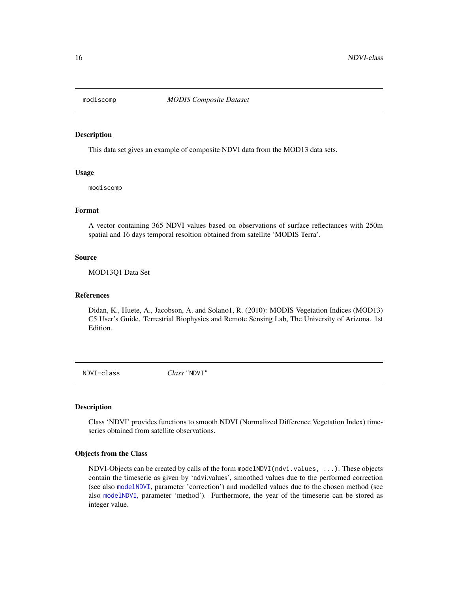<span id="page-15-0"></span>

# Description

This data set gives an example of composite NDVI data from the MOD13 data sets.

#### Usage

modiscomp

#### Format

A vector containing 365 NDVI values based on observations of surface reflectances with 250m spatial and 16 days temporal resoltion obtained from satellite 'MODIS Terra'.

#### Source

MOD13Q1 Data Set

#### References

Didan, K., Huete, A., Jacobson, A. and Solano1, R. (2010): MODIS Vegetation Indices (MOD13) C5 User's Guide. Terrestrial Biophysics and Remote Sensing Lab, The University of Arizona. 1st Edition.

<span id="page-15-1"></span>NDVI-class *Class* "NDVI"

#### **Description**

Class 'NDVI' provides functions to smooth NDVI (Normalized Difference Vegetation Index) timeseries obtained from satellite observations.

#### Objects from the Class

NDVI-Objects can be created by calls of the form modelNDVI(ndvi.values, ...). These objects contain the timeserie as given by 'ndvi.values', smoothed values due to the performed correction (see also [modelNDVI](#page-9-1), parameter 'correction') and modelled values due to the chosen method (see also [modelNDVI](#page-9-1), parameter 'method'). Furthermore, the year of the timeserie can be stored as integer value.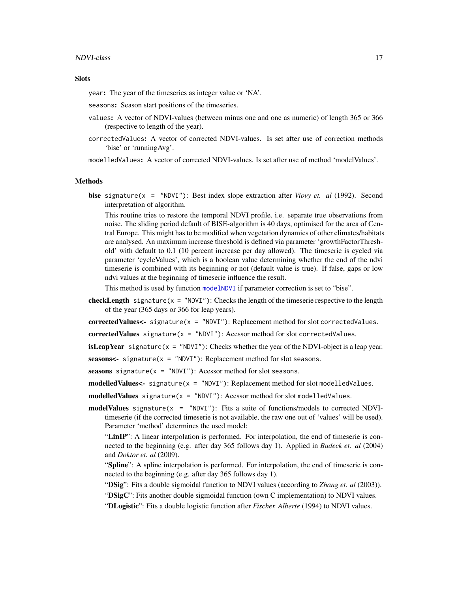#### NDVI-class 2008 and 2008 and 2008 and 2008 and 2008 and 2008 and 2008 and 2008 and 2008 and 2008 and 2008 and 2008 and 2008 and 2008 and 2008 and 2008 and 2008 and 2008 and 2008 and 2008 and 2008 and 2008 and 2008 and 2008

#### **Slots**

year: The year of the timeseries as integer value or 'NA'.

seasons: Season start positions of the timeseries.

- values: A vector of NDVI-values (between minus one and one as numeric) of length 365 or 366 (respective to length of the year).
- correctedValues: A vector of corrected NDVI-values. Is set after use of correction methods 'bise' or 'runningAvg'.
- modelledValues: A vector of corrected NDVI-values. Is set after use of method 'modelValues'.

### Methods

bise signature(x = "NDVI"): Best index slope extraction after *Viovy et. al* (1992). Second interpretation of algorithm.

This routine tries to restore the temporal NDVI profile, i.e. separate true observations from noise. The sliding period default of BISE-algorithm is 40 days, optimised for the area of Central Europe. This might has to be modified when vegetation dynamics of other climates/habitats are analysed. An maximum increase threshold is defined via parameter 'growthFactorThreshold' with default to 0.1 (10 percent increase per day allowed). The timeserie is cycled via parameter 'cycleValues', which is a boolean value determining whether the end of the ndvi timeserie is combined with its beginning or not (default value is true). If false, gaps or low ndvi values at the beginning of timeserie influence the result.

This method is used by function [modelNDVI](#page-9-1) if parameter correction is set to "bise".

**checkLength** signature( $x =$  "NDVI"): Checks the length of the timeserie respective to the length of the year (365 days or 366 for leap years).

 $correctedValues < - signature(x = "NDVI");$  Replacement method for slot correctedValues.

correctedValues signature( $x =$  "NDVI"): Acessor method for slot correctedValues.

**isLeapYear** signature( $x =$  "NDVI"): Checks whether the year of the NDVI-object is a leap year.

seasons<- signature( $x =$  "NDVI"): Replacement method for slot seasons.

seasons signature( $x =$  "NDVI"): Acessor method for slot seasons.

 $modelledValues < - signature(x = "NDVI")$ : Replacement method for slot modelledValues.

 $modelledValues$  signature(x = "NDVI"): Acessor method for slot modelledValues.

modelValues signature(x = "NDVI"): Fits a suite of functions/models to corrected NDVItimeserie (if the corrected timeserie is not available, the raw one out of 'values' will be used). Parameter 'method' determines the used model:

"LinIP": A linear interpolation is performed. For interpolation, the end of timeserie is connected to the beginning (e.g. after day 365 follows day 1). Applied in *Badeck et. al* (2004) and *Doktor et. al* (2009).

"Spline": A spline interpolation is performed. For interpolation, the end of timeserie is connected to the beginning (e.g. after day 365 follows day 1).

"DSig": Fits a double sigmoidal function to NDVI values (according to *Zhang et. al* (2003)).

"DSigC": Fits another double sigmoidal function (own C implementation) to NDVI values.

"DLogistic": Fits a double logistic function after *Fischer, Alberte* (1994) to NDVI values.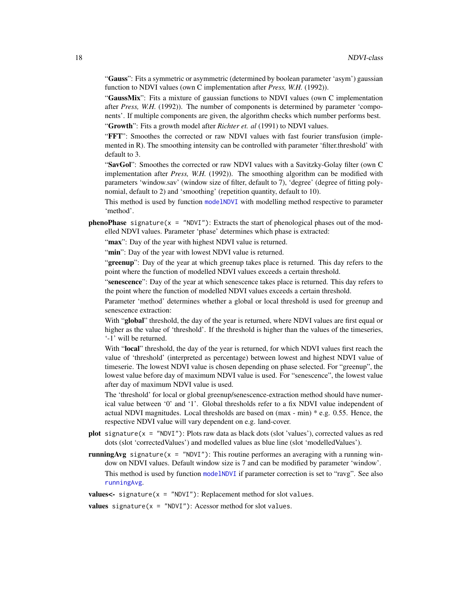<span id="page-17-0"></span>"Gauss": Fits a symmetric or asymmetric (determined by boolean parameter 'asym') gaussian function to NDVI values (own C implementation after *Press, W.H.* (1992)).

"GaussMix": Fits a mixture of gaussian functions to NDVI values (own C implementation after *Press, W.H.* (1992)). The number of components is determined by parameter 'components'. If multiple components are given, the algorithm checks which number performs best. "Growth": Fits a growth model after *Richter et. al* (1991) to NDVI values.

"FFT": Smoothes the corrected or raw NDVI values with fast fourier transfusion (implemented in R). The smoothing intensity can be controlled with parameter 'filter.threshold' with default to 3.

"SavGol": Smoothes the corrected or raw NDVI values with a Savitzky-Golay filter (own C implementation after *Press, W.H.* (1992)). The smoothing algorithm can be modified with parameters 'window.sav' (window size of filter, default to 7), 'degree' (degree of fitting polynomial, default to 2) and 'smoothing' (repetition quantity, default to 10).

This method is used by function [modelNDVI](#page-9-1) with modelling method respective to parameter 'method'.

**phenoPhase** signature( $x =$  "NDVI"): Extracts the start of phenological phases out of the modelled NDVI values. Parameter 'phase' determines which phase is extracted:

"max": Day of the year with highest NDVI value is returned.

"min": Day of the year with lowest NDVI value is returned.

"greenup": Day of the year at which greenup takes place is returned. This day refers to the point where the function of modelled NDVI values exceeds a certain threshold.

"senescence": Day of the year at which senescence takes place is returned. This day refers to the point where the function of modelled NDVI values exceeds a certain threshold.

Parameter 'method' determines whether a global or local threshold is used for greenup and senescence extraction:

With "global" threshold, the day of the year is returned, where NDVI values are first equal or higher as the value of 'threshold'. If the threshold is higher than the values of the timeseries, '-1' will be returned.

With "**local**" threshold, the day of the year is returned, for which NDVI values first reach the value of 'threshold' (interpreted as percentage) between lowest and highest NDVI value of timeserie. The lowest NDVI value is chosen depending on phase selected. For "greenup", the lowest value before day of maximum NDVI value is used. For "senescence", the lowest value after day of maximum NDVI value is used.

The 'threshold' for local or global greenup/senescence-extraction method should have numerical value between '0' and '1'. Global thresholds refer to a fix NDVI value independent of actual NDVI magnitudes. Local thresholds are based on (max - min) \* e.g. 0.55. Hence, the respective NDVI value will vary dependent on e.g. land-cover.

- **plot** signature( $x = "NDVI"$ ): Plots raw data as black dots (slot 'values'), corrected values as red dots (slot 'correctedValues') and modelled values as blue line (slot 'modelledValues').
- **runningAvg** signature( $x =$  "NDVI"): This routine performes an averaging with a running window on NDVI values. Default window size is 7 and can be modified by parameter 'window'. This method is used by function [modelNDVI](#page-9-1) if parameter correction is set to "ravg". See also [runningAvg](#page-22-1).

values $\leq$ - signature(x = "NDVI"): Replacement method for slot values.

values signature( $x =$  "NDVI"): Acessor method for slot values.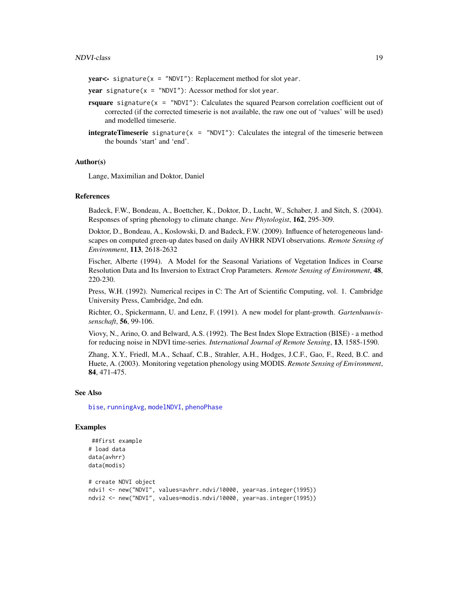#### <span id="page-18-0"></span>NDVI-class 2012 19

**year<-** signature( $x =$  "NDVI"): Replacement method for slot year.

- **year** signature( $x =$  "NDVI"): Acessor method for slot year.
- **rsquare** signature( $x = "NDVI"$ ): Calculates the squared Pearson correlation coefficient out of corrected (if the corrected timeserie is not available, the raw one out of 'values' will be used) and modelled timeserie.
- **integrateTimeserie** signature( $x = "NDVI"$ ): Calculates the integral of the timeserie between the bounds 'start' and 'end'.

#### Author(s)

Lange, Maximilian and Doktor, Daniel

# References

Badeck, F.W., Bondeau, A., Boettcher, K., Doktor, D., Lucht, W., Schaber, J. and Sitch, S. (2004). Responses of spring phenology to climate change. *New Phytologist*, 162, 295-309.

Doktor, D., Bondeau, A., Koslowski, D. and Badeck, F.W. (2009). Influence of heterogeneous landscapes on computed green-up dates based on daily AVHRR NDVI observations. *Remote Sensing of Environment*, 113, 2618-2632

Fischer, Alberte (1994). A Model for the Seasonal Variations of Vegetation Indices in Coarse Resolution Data and Its Inversion to Extract Crop Parameters. *Remote Sensing of Environment*, 48, 220-230.

Press, W.H. (1992). Numerical recipes in C: The Art of Scientific Computing, vol. 1. Cambridge University Press, Cambridge, 2nd edn.

Richter, O., Spickermann, U. and Lenz, F. (1991). A new model for plant-growth. *Gartenbauwissenschaft*, 56, 99-106.

Viovy, N., Arino, O. and Belward, A.S. (1992). The Best Index Slope Extraction (BISE) - a method for reducing noise in NDVI time-series. *International Journal of Remote Sensing*, 13, 1585-1590.

Zhang, X.Y., Friedl, M.A., Schaaf, C.B., Strahler, A.H., Hodges, J.C.F., Gao, F., Reed, B.C. and Huete, A. (2003). Monitoring vegetation phenology using MODIS. *Remote Sensing of Environment*, 84, 471-475.

#### See Also

[bise](#page-3-1), [runningAvg](#page-22-1), [modelNDVI](#page-9-1), [phenoPhase](#page-20-1)

#### Examples

```
##first example
# load data
data(avhrr)
data(modis)
# create NDVI object
ndvi1 <- new("NDVI", values=avhrr.ndvi/10000, year=as.integer(1995))
ndvi2 <- new("NDVI", values=modis.ndvi/10000, year=as.integer(1995))
```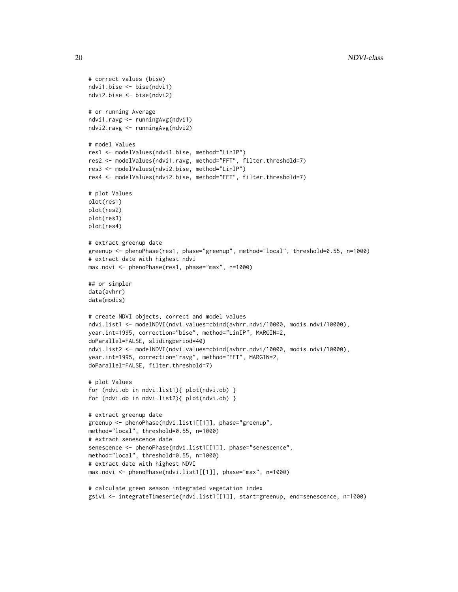```
# correct values (bise)
ndvi1.bise <- bise(ndvi1)
ndvi2.bise <- bise(ndvi2)
# or running Average
ndvi1.ravg <- runningAvg(ndvi1)
ndvi2.ravg <- runningAvg(ndvi2)
# model Values
res1 <- modelValues(ndvi1.bise, method="LinIP")
res2 <- modelValues(ndvi1.ravg, method="FFT", filter.threshold=7)
res3 <- modelValues(ndvi2.bise, method="LinIP")
res4 <- modelValues(ndvi2.bise, method="FFT", filter.threshold=7)
# plot Values
plot(res1)
plot(res2)
plot(res3)
plot(res4)
# extract greenup date
greenup <- phenoPhase(res1, phase="greenup", method="local", threshold=0.55, n=1000)
# extract date with highest ndvi
max.ndvi <- phenoPhase(res1, phase="max", n=1000)
## or simpler
data(avhrr)
data(modis)
# create NDVI objects, correct and model values
ndvi.list1 <- modelNDVI(ndvi.values=cbind(avhrr.ndvi/10000, modis.ndvi/10000),
year.int=1995, correction="bise", method="LinIP", MARGIN=2,
doParallel=FALSE, slidingperiod=40)
ndvi.list2 <- modelNDVI(ndvi.values=cbind(avhrr.ndvi/10000, modis.ndvi/10000),
year.int=1995, correction="ravg", method="FFT", MARGIN=2,
doParallel=FALSE, filter.threshold=7)
# plot Values
for (ndvi.ob in ndvi.list1){ plot(ndvi.ob) }
for (ndvi.ob in ndvi.list2){ plot(ndvi.ob) }
# extract greenup date
greenup <- phenoPhase(ndvi.list1[[1]], phase="greenup",
method="local", threshold=0.55, n=1000)
# extract senescence date
senescence <- phenoPhase(ndvi.list1[[1]], phase="senescence",
method="local", threshold=0.55, n=1000)
# extract date with highest NDVI
max.ndvi <- phenoPhase(ndvi.list1[[1]], phase="max", n=1000)
# calculate green season integrated vegetation index
```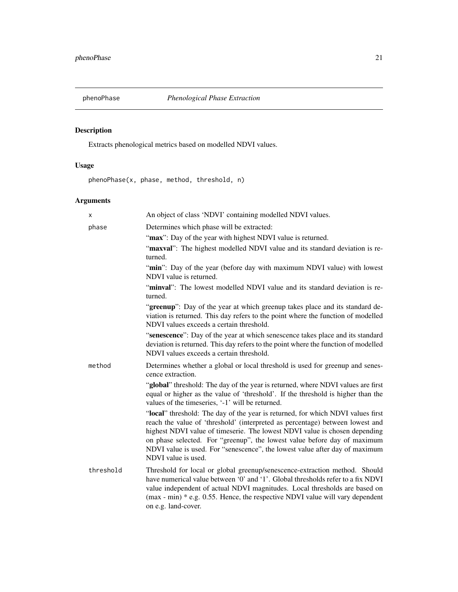<span id="page-20-1"></span><span id="page-20-0"></span>

# Description

Extracts phenological metrics based on modelled NDVI values.

# Usage

phenoPhase(x, phase, method, threshold, n)

# Arguments

| x         | An object of class 'NDVI' containing modelled NDVI values.                                                                                                                                                                                                                                                                                                                                                                       |
|-----------|----------------------------------------------------------------------------------------------------------------------------------------------------------------------------------------------------------------------------------------------------------------------------------------------------------------------------------------------------------------------------------------------------------------------------------|
| phase     | Determines which phase will be extracted:                                                                                                                                                                                                                                                                                                                                                                                        |
|           | "max": Day of the year with highest NDVI value is returned.                                                                                                                                                                                                                                                                                                                                                                      |
|           | "maxval": The highest modelled NDVI value and its standard deviation is re-<br>turned.                                                                                                                                                                                                                                                                                                                                           |
|           | "min": Day of the year (before day with maximum NDVI value) with lowest<br>NDVI value is returned.                                                                                                                                                                                                                                                                                                                               |
|           | "minval": The lowest modelled NDVI value and its standard deviation is re-<br>turned.                                                                                                                                                                                                                                                                                                                                            |
|           | "greenup": Day of the year at which greenup takes place and its standard de-<br>viation is returned. This day refers to the point where the function of modelled<br>NDVI values exceeds a certain threshold.                                                                                                                                                                                                                     |
|           | "senescence": Day of the year at which senescence takes place and its standard<br>deviation is returned. This day refers to the point where the function of modelled<br>NDVI values exceeds a certain threshold.                                                                                                                                                                                                                 |
| method    | Determines whether a global or local threshold is used for greenup and senes-<br>cence extraction.                                                                                                                                                                                                                                                                                                                               |
|           | "global" threshold: The day of the year is returned, where NDVI values are first<br>equal or higher as the value of 'threshold'. If the threshold is higher than the<br>values of the timeseries, '-1' will be returned.                                                                                                                                                                                                         |
|           | "local" threshold: The day of the year is returned, for which NDVI values first<br>reach the value of 'threshold' (interpreted as percentage) between lowest and<br>highest NDVI value of timeserie. The lowest NDVI value is chosen depending<br>on phase selected. For "greenup", the lowest value before day of maximum<br>NDVI value is used. For "senescence", the lowest value after day of maximum<br>NDVI value is used. |
| threshold | Threshold for local or global greenup/senescence-extraction method. Should<br>have numerical value between '0' and '1'. Global thresholds refer to a fix NDVI<br>value independent of actual NDVI magnitudes. Local thresholds are based on<br>$(max - min) * e.g. 0.55$ . Hence, the respective NDVI value will vary dependent<br>on e.g. land-cover.                                                                           |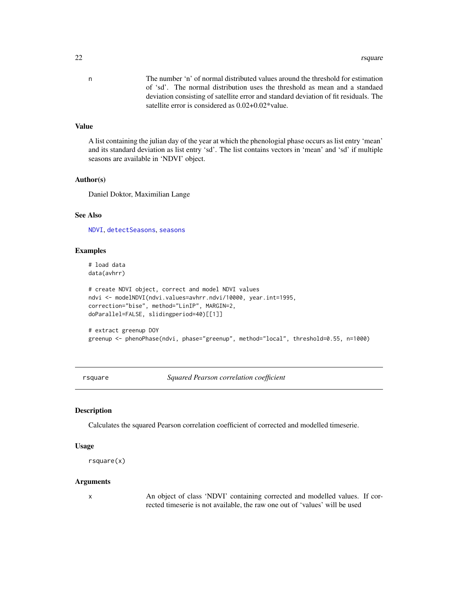<span id="page-21-0"></span>n The number 'n' of normal distributed values around the threshold for estimation of 'sd'. The normal distribution uses the threshold as mean and a standaed deviation consisting of satellite error and standard deviation of fit residuals. The satellite error is considered as 0.02+0.02\*value.

#### Value

A list containing the julian day of the year at which the phenologial phase occurs as list entry 'mean' and its standard deviation as list entry 'sd'. The list contains vectors in 'mean' and 'sd' if multiple seasons are available in 'NDVI' object.

#### Author(s)

Daniel Doktor, Maximilian Lange

# See Also

[NDVI](#page-15-1), [detectSeasons](#page-6-1), [seasons](#page-23-1)

# Examples

# load data data(avhrr)

```
# create NDVI object, correct and model NDVI values
ndvi <- modelNDVI(ndvi.values=avhrr.ndvi/10000, year.int=1995,
correction="bise", method="LinIP", MARGIN=2,
doParallel=FALSE, slidingperiod=40)[[1]]
```
# extract greenup DOY greenup <- phenoPhase(ndvi, phase="greenup", method="local", threshold=0.55, n=1000)

rsquare *Squared Pearson correlation coefficient*

#### Description

Calculates the squared Pearson correlation coefficient of corrected and modelled timeserie.

#### Usage

rsquare(x)

# Arguments

x An object of class 'NDVI' containing corrected and modelled values. If corrected timeserie is not available, the raw one out of 'values' will be used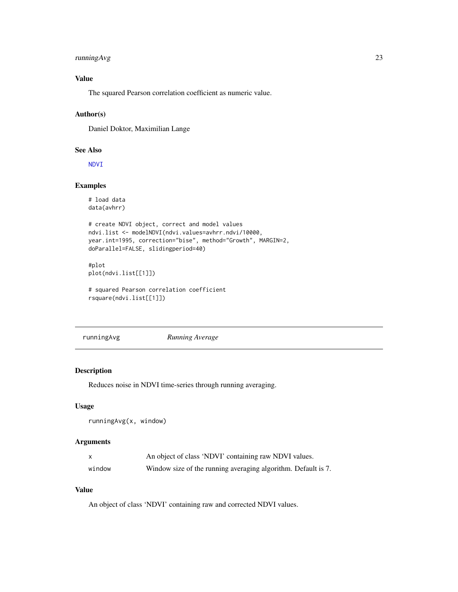# <span id="page-22-0"></span>runningAvg 23

# Value

The squared Pearson correlation coefficient as numeric value.

#### Author(s)

Daniel Doktor, Maximilian Lange

#### See Also

[NDVI](#page-15-1)

# Examples

```
# load data
data(avhrr)
# create NDVI object, correct and model values
ndvi.list <- modelNDVI(ndvi.values=avhrr.ndvi/10000,
year.int=1995, correction="bise", method="Growth", MARGIN=2,
doParallel=FALSE, slidingperiod=40)
#plot
plot(ndvi.list[[1]])
# squared Pearson correlation coefficient
```

```
rsquare(ndvi.list[[1]])
```
<span id="page-22-1"></span>runningAvg *Running Average*

#### Description

Reduces noise in NDVI time-series through running averaging.

# Usage

```
runningAvg(x, window)
```
# Arguments

| X      | An object of class 'NDVI' containing raw NDVI values.         |
|--------|---------------------------------------------------------------|
| window | Window size of the running averaging algorithm. Default is 7. |

# Value

An object of class 'NDVI' containing raw and corrected NDVI values.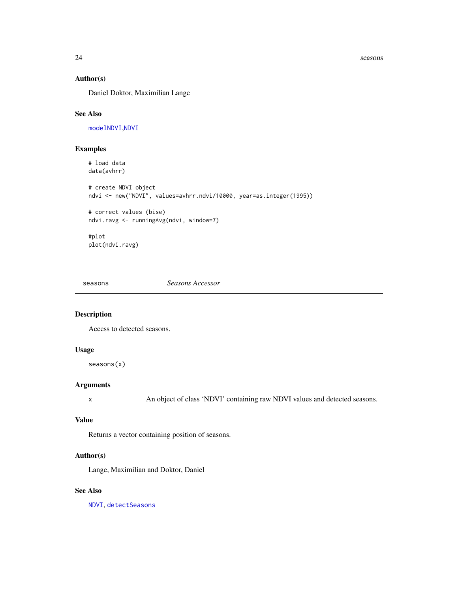#### 24 seasons and the seasons of the seasons of the seasons of the seasons of the seasons of the seasons of the seasons

# Author(s)

Daniel Doktor, Maximilian Lange

# See Also

[modelNDVI](#page-9-1),[NDVI](#page-15-1)

# Examples

```
# load data
data(avhrr)
# create NDVI object
ndvi <- new("NDVI", values=avhrr.ndvi/10000, year=as.integer(1995))
# correct values (bise)
ndvi.ravg <- runningAvg(ndvi, window=7)
#plot
plot(ndvi.ravg)
```
<span id="page-23-1"></span>seasons *Seasons Accessor*

# Description

Access to detected seasons.

# Usage

seasons(x)

#### Arguments

x An object of class 'NDVI' containing raw NDVI values and detected seasons.

# Value

Returns a vector containing position of seasons.

# Author(s)

Lange, Maximilian and Doktor, Daniel

# See Also

[NDVI](#page-15-1), [detectSeasons](#page-6-1)

<span id="page-23-0"></span>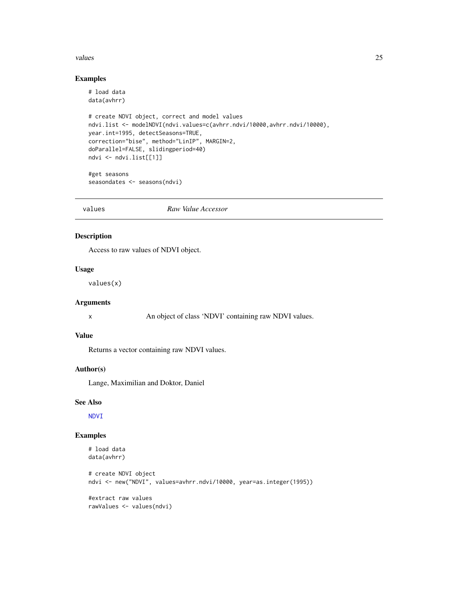#### <span id="page-24-0"></span>values 25

# Examples

```
# load data
data(avhrr)
# create NDVI object, correct and model values
ndvi.list <- modelNDVI(ndvi.values=c(avhrr.ndvi/10000,avhrr.ndvi/10000),
year.int=1995, detectSeasons=TRUE,
correction="bise", method="LinIP", MARGIN=2,
doParallel=FALSE, slidingperiod=40)
ndvi <- ndvi.list[[1]]
#get seasons
seasondates <- seasons(ndvi)
```
values *Raw Value Accessor*

# Description

Access to raw values of NDVI object.

#### Usage

values(x)

# Arguments

x An object of class 'NDVI' containing raw NDVI values.

#### Value

Returns a vector containing raw NDVI values.

# Author(s)

Lange, Maximilian and Doktor, Daniel

#### See Also

[NDVI](#page-15-1)

# Examples

```
# load data
data(avhrr)
# create NDVI object
ndvi <- new("NDVI", values=avhrr.ndvi/10000, year=as.integer(1995))
#extract raw values
rawValues <- values(ndvi)
```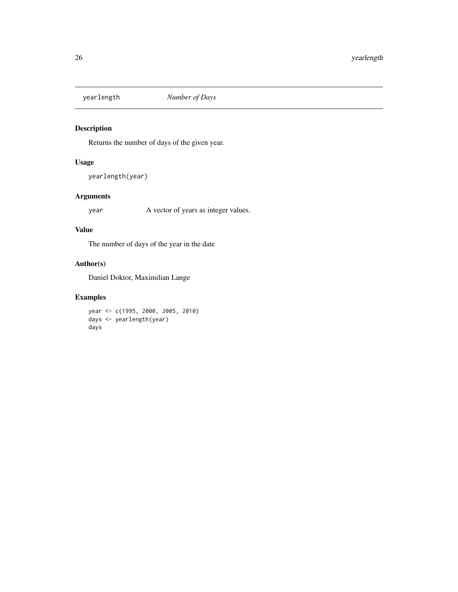<span id="page-25-0"></span>

# Description

Returns the number of days of the given year.

# Usage

```
yearlength(year)
```
# Arguments

year A vector of years as integer values.

# Value

The number of days of the year in the date

# Author(s)

Daniel Doktor, Maximilian Lange

# Examples

year <- c(1995, 2000, 2005, 2010) days <- yearlength(year) days